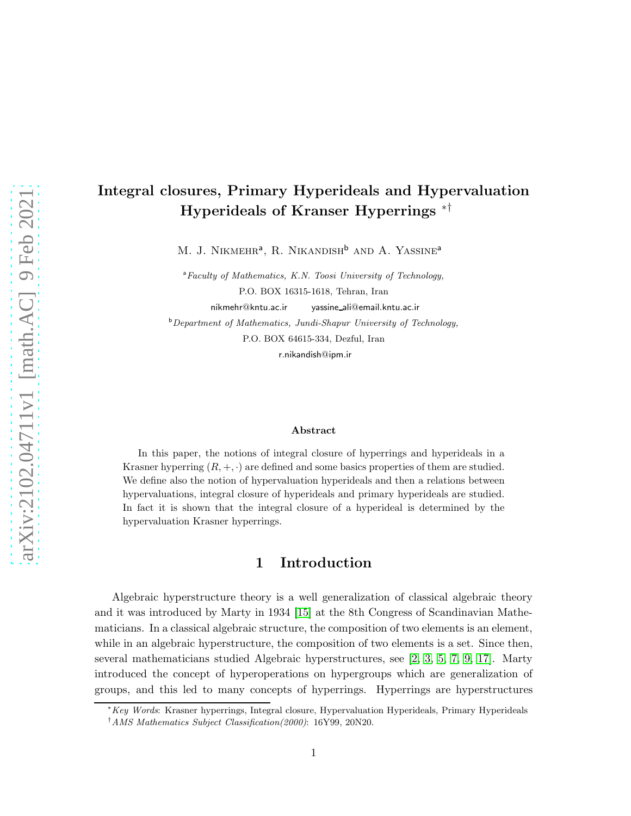# Integral closures, Primary Hyperideals and Hypervaluation Hyperideals of Kranser Hyperrings ∗†

M. J. NIKMEHR<sup>a</sup>, R. NIKANDISH<sup>b</sup> AND A. YASSINE<sup>a</sup>

<sup>a</sup>Faculty of Mathematics, K.N. Toosi University of Technology, P.O. BOX 16315-1618, Tehran, Iran nikmehr@kntu.ac.ir yassine ali@email.kntu.ac.ir

<sup>b</sup>Department of Mathematics, Jundi-Shapur University of Technology,

P.O. BOX 64615-334, Dezful, Iran

r.nikandish@ipm.ir

#### Abstract

In this paper, the notions of integral closure of hyperrings and hyperideals in a Krasner hyperring  $(R, +, \cdot)$  are defined and some basics properties of them are studied. We define also the notion of hypervaluation hyperideals and then a relations between hypervaluations, integral closure of hyperideals and primary hyperideals are studied. In fact it is shown that the integral closure of a hyperideal is determined by the hypervaluation Krasner hyperrings.

## 1 Introduction

Algebraic hyperstructure theory is a well generalization of classical algebraic theory and it was introduced by Marty in 1934 [\[15\]](#page-15-0) at the 8th Congress of Scandinavian Mathematicians. In a classical algebraic structure, the composition of two elements is an element, while in an algebraic hyperstructure, the composition of two elements is a set. Since then, several mathematicians studied Algebraic hyperstructures, see [\[2,](#page-14-0) [3,](#page-14-1) [5,](#page-14-2) [7,](#page-14-3) [9,](#page-14-4) [17\]](#page-15-1). Marty introduced the concept of hyperoperations on hypergroups which are generalization of groups, and this led to many concepts of hyperrings. Hyperrings are hyperstructures

<sup>∗</sup>Key Words: Krasner hyperrings, Integral closure, Hypervaluation Hyperideals, Primary Hyperideals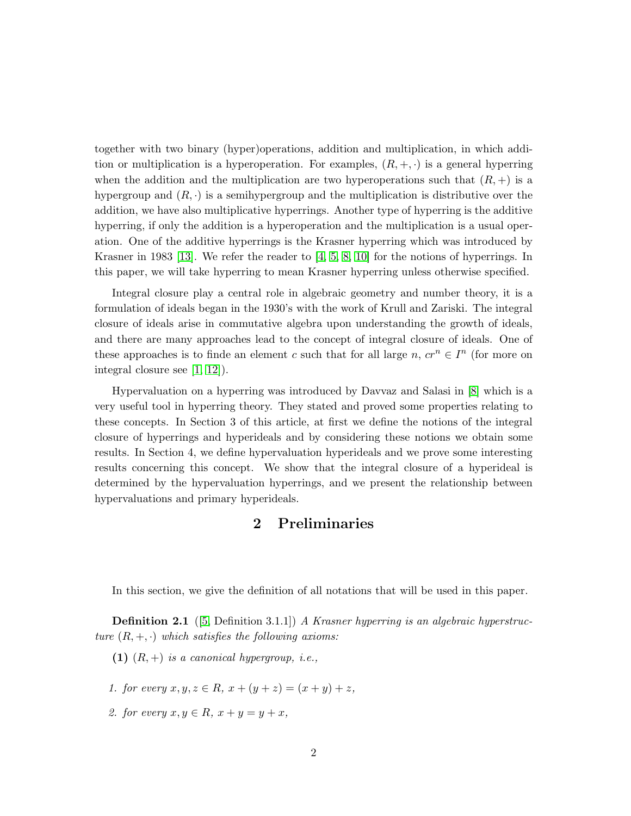together with two binary (hyper)operations, addition and multiplication, in which addition or multiplication is a hyperoperation. For examples,  $(R, +, \cdot)$  is a general hyperring when the addition and the multiplication are two hyperoperations such that  $(R, +)$  is a hypergroup and  $(R, \cdot)$  is a semihypergroup and the multiplication is distributive over the addition, we have also multiplicative hyperrings. Another type of hyperring is the additive hyperring, if only the addition is a hyperoperation and the multiplication is a usual operation. One of the additive hyperrings is the Krasner hyperring which was introduced by Krasner in 1983 [\[13\]](#page-14-5). We refer the reader to [\[4,](#page-14-6) [5,](#page-14-2) [8,](#page-14-7) [10\]](#page-14-8) for the notions of hyperrings. In this paper, we will take hyperring to mean Krasner hyperring unless otherwise specified.

Integral closure play a central role in algebraic geometry and number theory, it is a formulation of ideals began in the 1930's with the work of Krull and Zariski. The integral closure of ideals arise in commutative algebra upon understanding the growth of ideals, and there are many approaches lead to the concept of integral closure of ideals. One of these approaches is to finde an element c such that for all large  $n, cr^n \in I^n$  (for more on integral closure see [\[1,](#page-14-9) [12\]](#page-14-10)).

Hypervaluation on a hyperring was introduced by Davvaz and Salasi in [\[8\]](#page-14-7) which is a very useful tool in hyperring theory. They stated and proved some properties relating to these concepts. In Section 3 of this article, at first we define the notions of the integral closure of hyperrings and hyperideals and by considering these notions we obtain some results. In Section 4, we define hypervaluation hyperideals and we prove some interesting results concerning this concept. We show that the integral closure of a hyperideal is determined by the hypervaluation hyperrings, and we present the relationship between hypervaluations and primary hyperideals.

### 2 Preliminaries

In this section, we give the definition of all notations that will be used in this paper.

Definition 2.1 ([\[5,](#page-14-2) Definition 3.1.1]) *A Krasner hyperring is an algebraic hyperstructure*  $(R, +, \cdot)$  *which satisfies the following axioms:* 

- (1) (R, +) *is a canonical hypergroup, i.e.,*
- *1. for every*  $x, y, z \in R$ ,  $x + (y + z) = (x + y) + z$ ,
- 2. for every  $x, y \in R$ ,  $x + y = y + x$ ,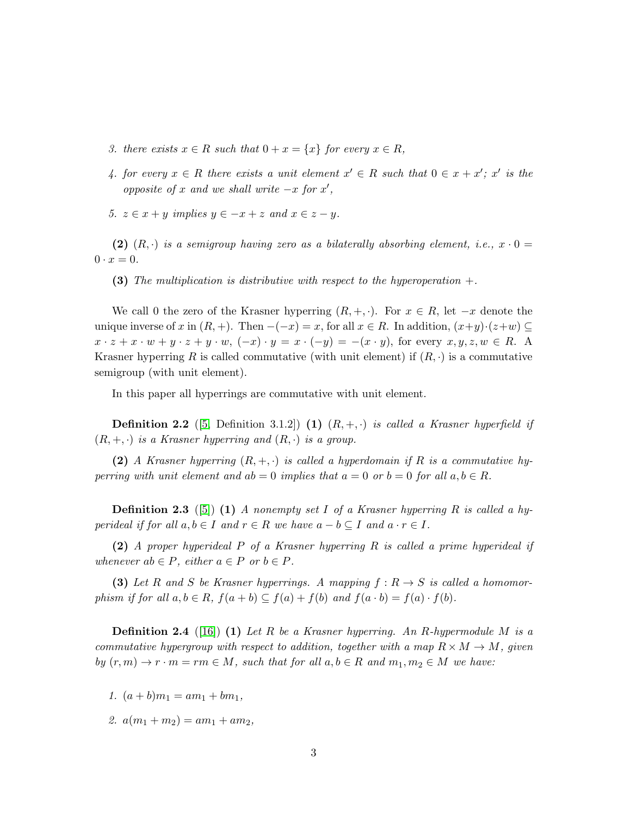- *3. there exists*  $x \in R$  *such that*  $0 + x = \{x\}$  *for every*  $x \in R$ *,*
- 4. for every  $x \in R$  there exists a unit element  $x' \in R$  such that  $0 \in x + x'$ ;  $x'$  is the *opposite of* x and we shall write  $-x$  *for*  $x'$ *,*
- *5.*  $z \in x + y$  *implies*  $y \in -x + z$  *and*  $x \in z y$ *.*

(2)  $(R, \cdot)$  *is a semigroup having zero as a bilaterally absorbing element, i.e.,*  $x \cdot 0 =$  $0 \cdot x = 0.$ 

(3) *The multiplication is distributive with respect to the hyperoperation* +*.*

We call 0 the zero of the Krasner hyperring  $(R, +, \cdot)$ . For  $x \in R$ , let  $-x$  denote the unique inverse of x in  $(R, +)$ . Then  $-(-x) = x$ , for all  $x \in R$ . In addition,  $(x+y)\cdot(z+w) \subseteq$  $x \cdot z + x \cdot w + y \cdot z + y \cdot w$ ,  $(-x) \cdot y = x \cdot (-y) = -(x \cdot y)$ , for every  $x, y, z, w \in R$ . Krasner hyperring R is called commutative (with unit element) if  $(R, \cdot)$  is a commutative semigroup (with unit element).

In this paper all hyperrings are commutative with unit element.

**Definition 2.2** ([\[5,](#page-14-2) Definition 3.1.2]) (1)  $(R, +, \cdot)$  *is called a Krasner hyperfield if*  $(R, +, \cdot)$  *is a Krasner hyperring and*  $(R, \cdot)$  *is a group.* 

(2) *A Krasner hyperring*  $(R, +, \cdot)$  *is called a hyperdomain if* R *is a commutative hyperring with unit element and*  $ab = 0$  *implies that*  $a = 0$  *or*  $b = 0$  *for all*  $a, b \in R$ *.* 

Definition 2.3 ([\[5\]](#page-14-2)) (1) *A nonempty set* I *of a Krasner hyperring* R *is called a hyperideal if for all*  $a, b \in I$  *and*  $r \in R$  *we have*  $a - b \subseteq I$  *and*  $a \cdot r \in I$ *.* 

(2) *A proper hyperideal* P *of a Krasner hyperring* R *is called a prime hyperideal if whenever*  $ab \in P$ *, either*  $a \in P$  *or*  $b \in P$ *.* 

(3) Let R and S be Krasner hyperrings. A mapping  $f: R \to S$  is called a homomor*phism if for all*  $a, b \in R$ ,  $f(a + b) \subseteq f(a) + f(b)$  *and*  $f(a \cdot b) = f(a) \cdot f(b)$ *.* 

Definition 2.4 ([\[16\]](#page-15-2)) (1) *Let* R *be a Krasner hyperring. An* R*-hypermodule* M *is a commutative hypergroup with respect to addition, together with a map*  $R \times M \rightarrow M$ , given *by*  $(r, m) \to r \cdot m = rm \in M$ , such that for all  $a, b \in R$  and  $m_1, m_2 \in M$  we have:

- *1.*  $(a + b)m_1 = am_1 + bm_1$ ,
- 2.  $a(m_1 + m_2) = am_1 + am_2$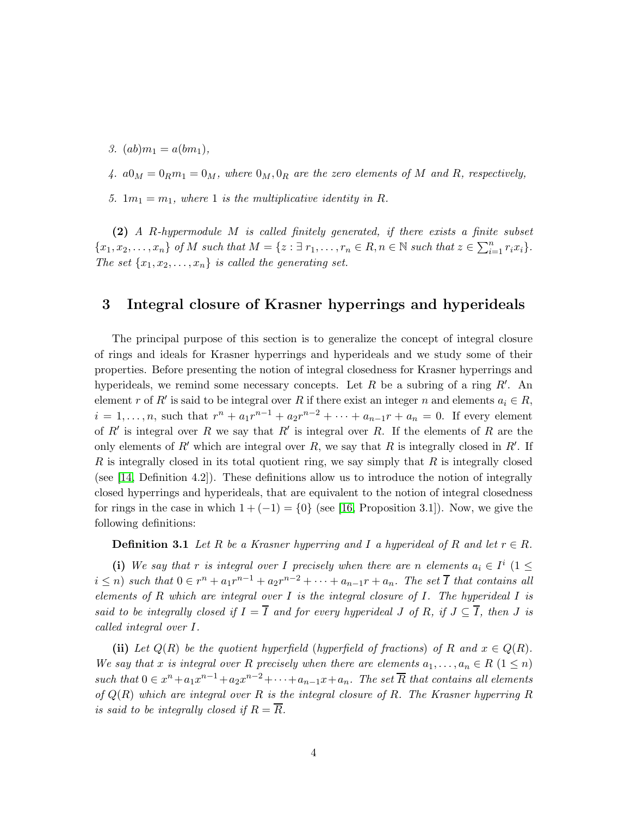*3.*  $(ab)m_1 = a(bm_1)$ ,

4.  $a0_M = 0_R m_1 = 0_M$ , where  $0_M$ ,  $0_R$  are the zero elements of M and R, respectively,

5.  $1m_1 = m_1$ , where 1 is the multiplicative identity in R.

(2) *A* R*-hypermodule* M *is called finitely generated, if there exists a finite subset*  ${x_1, x_2, \ldots, x_n}$  *of M* such that  $M = \{z : \exists r_1, \ldots, r_n \in R, n \in \mathbb{N} \text{ such that } z \in \sum_{i=1}^n r_i x_i\}.$ *The set*  $\{x_1, x_2, \ldots, x_n\}$  *is called the generating set.* 

#### 3 Integral closure of Krasner hyperrings and hyperideals

The principal purpose of this section is to generalize the concept of integral closure of rings and ideals for Krasner hyperrings and hyperideals and we study some of their properties. Before presenting the notion of integral closedness for Krasner hyperrings and hyperideals, we remind some necessary concepts. Let  $R$  be a subring of a ring  $R'$ . An element r of R' is said to be integral over R if there exist an integer n and elements  $a_i \in R$ ,  $i = 1, ..., n$ , such that  $r^{n} + a_1 r^{n-1} + a_2 r^{n-2} + \cdots + a_{n-1} r + a_n = 0$ . If every element of  $R'$  is integral over R we say that  $R'$  is integral over R. If the elements of R are the only elements of  $R'$  which are integral over  $R$ , we say that  $R$  is integrally closed in  $R'$ . If R is integrally closed in its total quotient ring, we say simply that  $R$  is integrally closed (see [\[14,](#page-14-11) Definition 4.2]). These definitions allow us to introduce the notion of integrally closed hyperrings and hyperideals, that are equivalent to the notion of integral closedness for rings in the case in which  $1 + (-1) = \{0\}$  (see [\[16,](#page-15-2) Proposition 3.1]). Now, we give the following definitions:

**Definition 3.1** Let R be a Krasner hyperring and I a hyperideal of R and let  $r \in R$ .

(i) We say that r is integral over I precisely when there are n elements  $a_i \in I^i$  ( $1 \leq$  $i \leq n$ ) such that  $0 \in r^n + a_1r^{n-1} + a_2r^{n-2} + \cdots + a_{n-1}r + a_n$ . The set  $\overline{I}$  that contains all *elements of* R *which are integral over* I *is the integral closure of* I*. The hyperideal* I *is said to be integrally closed if*  $I = \overline{I}$  *and for every hyperideal* J *of* R, *if*  $J \subseteq \overline{I}$ *, then* J *is called integral over* I*.*

(ii) Let  $Q(R)$  be the quotient hyperfield (hyperfield of fractions) of R and  $x \in Q(R)$ . *We say that* x *is integral over* R precisely when there are elements  $a_1, \ldots, a_n \in R$  ( $1 \leq n$ ) such that  $0 \in x^n + a_1 x^{n-1} + a_2 x^{n-2} + \cdots + a_{n-1} x + a_n$ . The set  $\overline{R}$  that contains all elements *of* Q(R) *which are integral over* R *is the integral closure of* R*. The Krasner hyperring* R *is said to be integrally closed if*  $R = \overline{R}$ *.*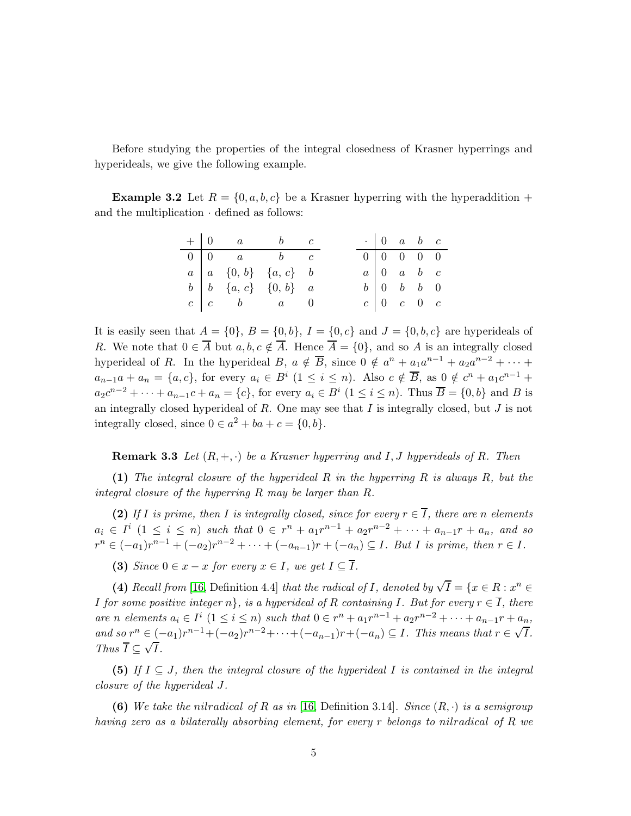Before studying the properties of the integral closedness of Krasner hyperrings and hyperideals, we give the following example.

**Example 3.2** Let  $R = \{0, a, b, c\}$  be a Krasner hyperring with the hyperaddition + and the multiplication  $\cdot$  defined as follows:

|  | $+ 0 a b c$                                      |  |  | $\cdot$ 0 a b c                                 |  |  |
|--|--------------------------------------------------|--|--|-------------------------------------------------|--|--|
|  | $0 \mid 0$ a b c                                 |  |  | $0 \begin{bmatrix} 0 & 0 & 0 & 0 \end{bmatrix}$ |  |  |
|  | $a \mid a \{0, b\} \{a, c\}$ b                   |  |  | $a \begin{bmatrix} 0 & a & b & c \end{bmatrix}$ |  |  |
|  | $b \mid b \mid \{a, c\} \mid \{0, b\} \mid a$    |  |  | $b \begin{bmatrix} 0 & b & b & 0 \end{bmatrix}$ |  |  |
|  | $c \begin{array}{ccc} c & b & a & 0 \end{array}$ |  |  | $c \begin{bmatrix} 0 & c & 0 & c \end{bmatrix}$ |  |  |

It is easily seen that  $A = \{0\}$ ,  $B = \{0,b\}$ ,  $I = \{0,c\}$  and  $J = \{0,b,c\}$  are hyperideals of R. We note that  $0 \in \overline{A}$  but  $a, b, c \notin \overline{A}$ . Hence  $\overline{A} = \{0\}$ , and so A is an integrally closed hyperideal of R. In the hyperideal  $B, a \notin \overline{B}$ , since  $0 \notin a^n + a_1 a^{n-1} + a_2 a^{n-2} + \cdots$  $a_{n-1}a + a_n = \{a, c\}$ , for every  $a_i \in B^i \ (1 \leq i \leq n)$ . Also  $c \notin \overline{B}$ , as  $0 \notin c^n + a_1 c^{n-1} +$  $a_2c^{n-2} + \cdots + a_{n-1}c + a_n = \{c\}$ , for every  $a_i \in B^i \ (1 \le i \le n)$ . Thus  $\overline{B} = \{0, b\}$  and B is an integrally closed hyperideal of  $R$ . One may see that  $I$  is integrally closed, but  $J$  is not integrally closed, since  $0 \in a^2 + ba + c = \{0, b\}.$ 

<span id="page-4-0"></span>**Remark 3.3** *Let*  $(R, +, \cdot)$  *be a Krasner hyperring and I, J hyperideals of R. Then* 

(1) *The integral closure of the hyperideal* R *in the hyperring* R *is always* R*, but the integral closure of the hyperring* R *may be larger than* R*.*

(2) If *I* is prime, then *I* is integrally closed, since for every  $r \in \overline{I}$ , there are n elements  $a_i \in I^i \ (1 \leq i \leq n) \ such \ that \ 0 \in r^n + a_1 r^{n-1} + a_2 r^{n-2} + \cdots + a_{n-1} r + a_n, \ and \ so$  $r^{n} \in (-a_1)r^{n-1} + (-a_2)r^{n-2} + \cdots + (-a_{n-1})r + (-a_n) \subseteq I$ . But I is prime, then  $r \in I$ .

(3) *Since*  $0 \in x - x$  *for every*  $x \in I$ *, we get*  $I \subseteq \overline{I}$ *.* 

(4) *Recall from* [\[16,](#page-15-2) Definition 4.4] *that the radical of I*, *denoted by*  $\sqrt{I} = \{x \in R : x^n \in R\}$ *I* for some positive integer  $n$ , is a hyperideal of R containing I. But for every  $r \in \overline{I}$ , there *are n elements*  $a_i \in I^i \ (1 \leq i \leq n)$  *such that*  $0 \in r^n + a_1 r^{n-1} + a_2 r^{n-2} + \cdots + a_{n-1} r + a_n$ *and so*  $r^n$  ∈  $(-a_1)r^{n-1}$  +  $(-a_2)r^{n-2}$  +  $\cdots$  +  $(-a_{n-1})r$  +  $(-a_n)$  ⊆ *I*. *This means that*  $r \in \sqrt{T}$ . *Thus*  $\overline{I} \subseteq \sqrt{\overline{I}}$ .

(5) *If* I ⊆ J*, then the integral closure of the hyperideal* I *is contained in the integral closure of the hyperideal* J*.*

(6) We take the nilradical of R as in [\[16,](#page-15-2) Definition 3.14]. Since  $(R, \cdot)$  is a semigroup *having zero as a bilaterally absorbing element, for every* r *belongs to* nilradical *of* R *we*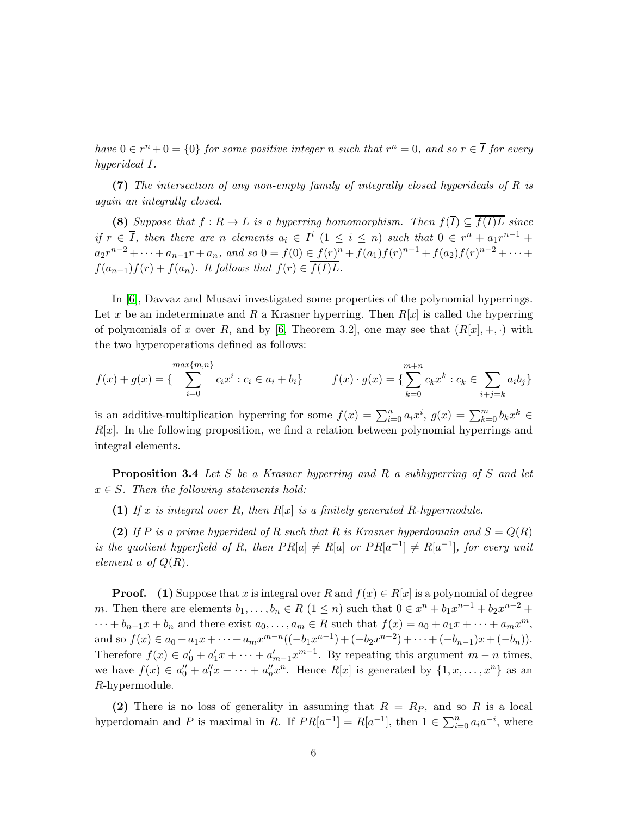$have 0 \in r<sup>n</sup> + 0 = \{0\}$  *for some positive integer n such that*  $r<sup>n</sup> = 0$ *, and so*  $r \in \overline{I}$  *for every hyperideal* I*.*

(7) *The intersection of any non-empty family of integrally closed hyperideals of* R *is again an integrally closed.*

(8) *Suppose that*  $f: R \to L$  *is a hyperring homomorphism. Then*  $f(\overline{I}) \subseteq \overline{f(I)L}$  *since if*  $r \in \overline{I}$ , then there are n elements  $a_i \in I^i$  ( $1 \leq i \leq n$ ) such that  $0 \in r^n + a_1 r^{n-1} +$  $a_2r^{n-2} + \cdots + a_{n-1}r + a_n$ , and so  $0 = f(0) \in \underline{f(r)^n} + f(a_1)f(r)^{n-1} + f(a_2)f(r)^{n-2} + \cdots$  $f(a_{n-1})f(r) + f(a_n)$ *. It follows that*  $f(r) \in \overline{f(I)L}$ *.* 

In [\[6\]](#page-14-12), Davvaz and Musavi investigated some properties of the polynomial hyperrings. Let x be an indeterminate and R a Krasner hyperring. Then  $R[x]$  is called the hyperring of polynomials of x over R, and by [\[6,](#page-14-12) Theorem 3.2], one may see that  $(R[x], +, \cdot)$  with the two hyperoperations defined as follows:

$$
f(x) + g(x) = \left\{ \sum_{i=0}^{\max\{m,n\}} c_i x^i : c_i \in a_i + b_i \right\} \qquad f(x) \cdot g(x) = \left\{ \sum_{k=0}^{m+n} c_k x^k : c_k \in \sum_{i+j=k} a_i b_j \right\}
$$

<span id="page-5-0"></span>is an additive-multiplication hyperring for some  $f(x) = \sum_{i=0}^{n} a_i x^i$ ,  $g(x) = \sum_{k=0}^{m} b_k x^k$  $R[x]$ . In the following proposition, we find a relation between polynomial hyperrings and integral elements.

Proposition 3.4 *Let* S *be a Krasner hyperring and* R *a subhyperring of* S *and let*  $x \in S$ . Then the following statements hold:

(1) *If* x *is integral over* R*, then* R[x] *is a finitely generated* R*-hypermodule.*

(2) If P is a prime hyperideal of R such that R is Krasner hyperdomain and  $S = Q(R)$ *is the quotient hyperfield of* R, then  $PR[a] \neq R[a]$  *or*  $PR[a^{-1}] \neq R[a^{-1}]$ , for every unit *element* a *of*  $Q(R)$ *.* 

**Proof.** (1) Suppose that x is integral over R and  $f(x) \in R[x]$  is a polynomial of degree m. Then there are elements  $b_1, \ldots, b_n \in R$   $(1 \leq n)$  such that  $0 \in x^n + b_1 x^{n-1} + b_2 x^{n-2} +$  $\cdots + b_{n-1}x + b_n$  and there exist  $a_0, \ldots, a_m \in R$  such that  $f(x) = a_0 + a_1x + \cdots + a_mx^m$ , and so  $f(x) \in a_0 + a_1x + \dots + a_mx^{m-n}((-b_1x^{n-1}) + (-b_2x^{n-2}) + \dots + (-b_{n-1})x + (-b_n)).$ Therefore  $f(x) \in a'_0 + a'_1 x + \cdots + a'_{m-1} x^{m-1}$ . By repeating this argument  $m - n$  times, we have  $f(x) \in a_0'' + a_1''x + \cdots + a_n''x^n$ . Hence  $R[x]$  is generated by  $\{1, x, \ldots, x^n\}$  as an R-hypermodule.

(2) There is no loss of generality in assuming that  $R = R_P$ , and so R is a local hyperdomain and P is maximal in R. If  $PR[a^{-1}] = R[a^{-1}]$ , then  $1 \in \sum_{i=0}^{n} a_i a^{-i}$ , where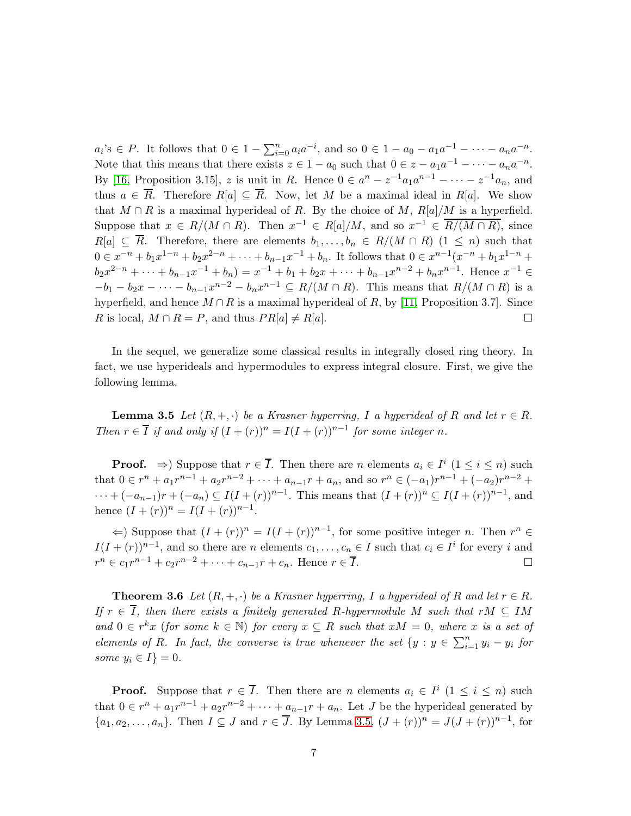$a_i$ 's  $\in P$ . It follows that  $0 \in 1 - \sum_{i=0}^n a_i a^{-i}$ , and so  $0 \in 1 - a_0 - a_1 a^{-1} - \cdots - a_n a^{-n}$ . Note that this means that there exists  $z \in 1 - a_0$  such that  $0 \in z - a_1 a^{-1} - \cdots - a_n a^{-n}$ . By [\[16,](#page-15-2) Proposition 3.15], z is unit in R. Hence  $0 \in a^n - z^{-1}a_1a^{n-1} - \cdots - z^{-1}a_n$ , and thus  $a \in \overline{R}$ . Therefore  $R[a] \subseteq \overline{R}$ . Now, let M be a maximal ideal in  $R[a]$ . We show that  $M \cap R$  is a maximal hyperideal of R. By the choice of M,  $R[a]/M$  is a hyperfield. Suppose that  $x \in R/(M \cap R)$ . Then  $x^{-1} \in R[a]/M$ , and so  $x^{-1} \in R/(M \cap R)$ , since  $R[a] \subseteq \overline{R}$ . Therefore, there are elements  $b_1, \ldots, b_n \in R/(M \cap R)$   $(1 \leq n)$  such that  $0 \in x^{-n} + b_1 x^{1-n} + b_2 x^{2-n} + \cdots + b_{n-1} x^{-1} + b_n$ . It follows that  $0 \in x^{n-1} (x^{-n} + b_1 x^{1-n} + b_2 x^{2-n})$  $b_2x^{2-n} + \cdots + b_{n-1}x^{-1} + b_n = x^{-1} + b_1 + b_2x + \cdots + b_{n-1}x^{n-2} + b_nx^{n-1}$ . Hence  $x^{-1} \in$  $-b_1 - b_2x - \cdots - b_{n-1}x^{n-2} - b_nx^{n-1} \subseteq R/(M \cap R)$ . This means that  $R/(M \cap R)$  is a hyperfield, and hence  $M \cap R$  is a maximal hyperideal of R, by [\[11,](#page-14-13) Proposition 3.7]. Since R is local,  $M \cap R = P$ , and thus  $PR[a] \neq R[a]$ .

<span id="page-6-0"></span>In the sequel, we generalize some classical results in integrally closed ring theory. In fact, we use hyperideals and hypermodules to express integral closure. First, we give the following lemma.

**Lemma 3.5** Let  $(R, +, \cdot)$  be a Krasner hyperring, I a hyperideal of R and let  $r \in R$ . *Then*  $r \in \overline{I}$  *if and only if*  $(I + (r))^n = I(I + (r))^{n-1}$  *for some integer n.* 

**Proof.**  $\Rightarrow$ ) Suppose that  $r \in \overline{I}$ . Then there are n elements  $a_i \in I^i$   $(1 \leq i \leq n)$  such that  $0 \in r^n + a_1r^{n-1} + a_2r^{n-2} + \cdots + a_{n-1}r + a_n$ , and so  $r^n \in (-a_1)r^{n-1} + (-a_2)r^{n-2} +$  $\cdots + (-a_{n-1})r + (-a_n) \subseteq I(I + (r))^{n-1}$ . This means that  $(I + (r))^{n} \subseteq I(I + (r))^{n-1}$ , and hence  $(I + (r))^n = I(I + (r))^{n-1}$ .

 $\Leftarrow$ ) Suppose that  $(I + (r))^n = I(I + (r))^{n-1}$ , for some positive integer *n*. Then  $r^n \in$  $I(I+(r))^{n-1}$ , and so there are n elements  $c_1, \ldots, c_n \in I$  such that  $c_i \in I^i$  for every i and  $r^{n} \in c_1 r^{n-1} + c_2 r^{n-2} + \cdots + c_{n-1} r + c_n$ . Hence  $r \in \overline{I}$ .

<span id="page-6-1"></span>**Theorem 3.6** Let  $(R, +, \cdot)$  be a Krasner hyperring, I a hyperideal of R and let  $r \in R$ . *If*  $r \in \overline{I}$ , then there exists a finitely generated R-hypermodule M such that  $rM \subseteq IM$ and  $0 \in r^k x$  (*for some*  $k \in \mathbb{N}$ ) *for every*  $x \subseteq R$  *such that*  $xM = 0$ *, where* x *is a set of elements of R. In fact, the converse is true whenever the set*  $\{y : y \in \sum_{i=1}^{n} y_i - y_i\}$  for *some*  $y_i \in I$  = 0*.* 

**Proof.** Suppose that  $r \in \overline{I}$ . Then there are n elements  $a_i \in I^i$   $(1 \leq i \leq n)$  such that  $0 \in r^n + a_1r^{n-1} + a_2r^{n-2} + \cdots + a_{n-1}r + a_n$ . Let J be the hyperideal generated by  $\{a_1, a_2, \ldots, a_n\}$ . Then  $I \subseteq J$  and  $r \in \overline{J}$ . By Lemma [3.5,](#page-6-0)  $(J + (r))^n = J(J + (r))^{n-1}$ , for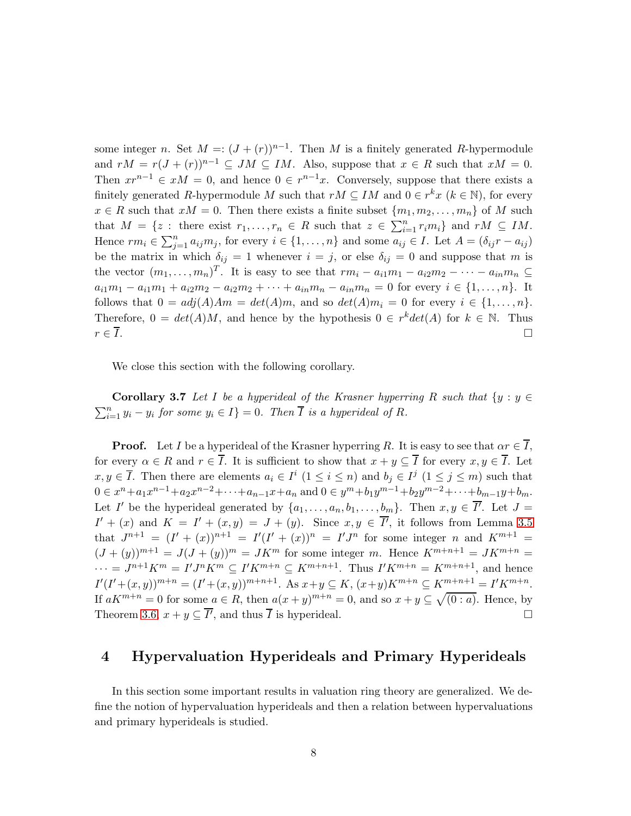some integer n. Set  $M = (J + (r))^{n-1}$ . Then M is a finitely generated R-hypermodule and  $rM = r(J + (r))^{n-1} \subseteq JM \subseteq IM$ . Also, suppose that  $x \in R$  such that  $xM = 0$ . Then  $xr^{n-1} \in xM = 0$ , and hence  $0 \in r^{n-1}x$ . Conversely, suppose that there exists a finitely generated R-hypermodule M such that  $rM \subseteq IM$  and  $0 \in r^kx$   $(k \in \mathbb{N})$ , for every  $x \in R$  such that  $xM = 0$ . Then there exists a finite subset  $\{m_1, m_2, \ldots, m_n\}$  of M such that  $M = \{z : \text{ there exist } r_1, \ldots, r_n \in R \text{ such that } z \in \sum_{i=1}^n r_i m_i\} \text{ and } rM \subseteq IM.$ Hence  $rm_i \in \sum_{j=1}^n a_{ij}m_j$ , for every  $i \in \{1, ..., n\}$  and some  $a_{ij} \in I$ . Let  $A = (\delta_{ij}r - a_{ij})$ be the matrix in which  $\delta_{ij} = 1$  whenever  $i = j$ , or else  $\delta_{ij} = 0$  and suppose that m is the vector  $(m_1, \ldots, m_n)^T$ . It is easy to see that  $rm_i - a_{i1}m_1 - a_{i2}m_2 - \cdots - a_{in}m_n \subseteq$  $a_{i1}m_1 - a_{i1}m_1 + a_{i2}m_2 - a_{i2}m_2 + \cdots + a_{in}m_n - a_{in}m_n = 0$  for every  $i \in \{1, ..., n\}$ . It follows that  $0 = adj(A)Am = det(A)m$ , and so  $det(A)m_i = 0$  for every  $i \in \{1, ..., n\}$ . Therefore,  $0 = det(A)M$ , and hence by the hypothesis  $0 \in r^k det(A)$  for  $k \in \mathbb{N}$ . Thus  $r \in \overline{I}$ .

We close this section with the following corollary.

**Corollary 3.7** Let I be a hyperideal of the Krasner hyperring R such that  $\{y : y \in$  $\sum_{i=1}^{n} y_i - y_i$  for some  $y_i \in I$  = 0*.* Then  $\overline{I}$  is a hyperideal of R.

**Proof.** Let I be a hyperideal of the Krasner hyperring R. It is easy to see that  $\alpha r \in \overline{I}$ , for every  $\alpha \in R$  and  $r \in \overline{I}$ . It is sufficient to show that  $x + y \subseteq \overline{I}$  for every  $x, y \in \overline{I}$ . Let  $x, y \in \overline{I}$ . Then there are elements  $a_i \in I^i$   $(1 \leq i \leq n)$  and  $b_j \in I^j$   $(1 \leq j \leq m)$  such that  $0 \in x^{n} + a_{1}x^{n-1} + a_{2}x^{n-2} + \cdots + a_{n-1}x + a_{n}$  and  $0 \in y^{m} + b_{1}y^{m-1} + b_{2}y^{m-2} + \cdots + b_{m-1}y + b_{m}$ . Let I' be the hyperideal generated by  $\{a_1, \ldots, a_n, b_1, \ldots, b_m\}$ . Then  $x, y \in \overline{I'}$ . Let  $J =$  $I' + (x)$  and  $K = I' + (x, y) = J + (y)$ . Since  $x, y \in \overline{I'}$ , it follows from Lemma [3.5](#page-6-0) that  $J^{n+1} = (I' + (x))^{n+1} = I'(I' + (x))^{n} = I'J^{n}$  for some integer n and  $K^{m+1} =$  $(J + (y))^{m+1} = J(J + (y))^m = JK^m$  for some integer m. Hence  $K^{m+n+1} = JK^{m+n}$  $\cdots = J^{n+1}K^m = I'J^nK^m \subseteq I'K^{m+n} \subseteq K^{m+n+1}$ . Thus  $I'K^{m+n} = K^{m+n+1}$ , and hence  $I'(I' + (x, y))^{m+n} = (I' + (x, y))^{m+n+1}$ . As  $x + y \subseteq K$ ,  $(x + y)K^{m+n} \subseteq K^{m+n+1}$  =  $I'K^{m+n}$ . If  $aK^{m+n} = 0$  for some  $a \in R$ , then  $a(x+y)^{m+n} = 0$ , and so  $x+y \subseteq \sqrt{(0:a)}$ . Hence, by Theorem [3.6,](#page-6-1)  $x + y \subseteq \overline{I'}$ , and thus  $\overline{I}$  is hyperideal.

#### 4 Hypervaluation Hyperideals and Primary Hyperideals

In this section some important results in valuation ring theory are generalized. We define the notion of hypervaluation hyperideals and then a relation between hypervaluations and primary hyperideals is studied.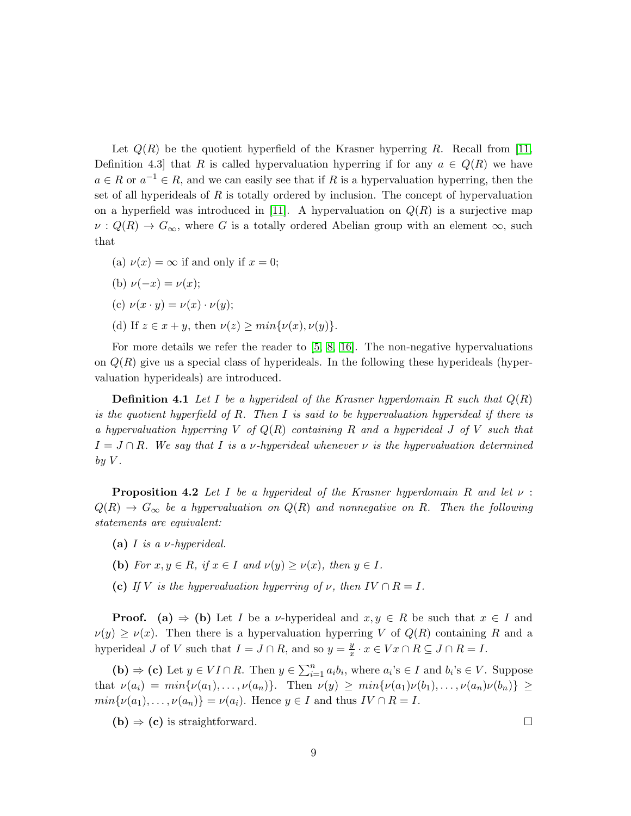Let  $Q(R)$  be the quotient hyperfield of the Krasner hyperring R. Recall from [\[11,](#page-14-13) Definition 4.3] that R is called hypervaluation hyperring if for any  $a \in Q(R)$  we have  $a \in R$  or  $a^{-1} \in R$ , and we can easily see that if R is a hypervaluation hyperring, then the set of all hyperideals of  $R$  is totally ordered by inclusion. The concept of hypervaluation on a hyperfield was introduced in [\[11\]](#page-14-13). A hypervaluation on  $Q(R)$  is a surjective map  $\nu: Q(R) \to G_{\infty}$ , where G is a totally ordered Abelian group with an element  $\infty$ , such that

(a)  $\nu(x) = \infty$  if and only if  $x = 0$ ;

(b) 
$$
\nu(-x) = \nu(x);
$$

$$
(c) \ \nu(x \cdot y) = \nu(x) \cdot \nu(y);
$$

(d) If  $z \in x + y$ , then  $\nu(z) \ge \min{\{\nu(x), \nu(y)\}}$ .

For more details we refer the reader to [\[5,](#page-14-2) [8,](#page-14-7) [16\]](#page-15-2). The non-negative hypervaluations on  $Q(R)$  give us a special class of hyperideals. In the following these hyperideals (hypervaluation hyperideals) are introduced.

Definition 4.1 *Let* I *be a hyperideal of the Krasner hyperdomain* R *such that* Q(R) *is the quotient hyperfield of* R*. Then* I *is said to be hypervaluation hyperideal if there is a hypervaluation hyperring* V *of* Q(R) *containing* R *and a hyperideal* J *of* V *such that*  $I = J \cap R$ *. We say that* I *is a v*-hyperideal whenever *v is the hypervaluation determined*  $by V.$ 

<span id="page-8-0"></span>Proposition 4.2 *Let* I *be a hyperideal of the Krasner hyperdomain* R *and let* ν :  $Q(R) \rightarrow G_{\infty}$  *be a hypervaluation on*  $Q(R)$  *and nonnegative on* R. Then the following *statements are equivalent:*

- (a) I *is a* ν*-hyperideal.*
- (b) *For*  $x, y \in R$ *, if*  $x \in I$  *and*  $\nu(y) > \nu(x)$ *, then*  $y \in I$ *.*
- (c) *If* V *is the hypervaluation hyperring of*  $\nu$ *, then*  $IV \cap R = I$ *.*

**Proof.** (a)  $\Rightarrow$  (b) Let I be a v-hyperideal and  $x, y \in R$  be such that  $x \in I$  and  $\nu(y) \geq \nu(x)$ . Then there is a hypervaluation hyperring V of  $Q(R)$  containing R and a hyperideal J of V such that  $I = J \cap R$ , and so  $y = \frac{y}{x}$  $\frac{y}{x} \cdot x \in Vx \cap R \subseteq J \cap R = I.$ 

(b)  $\Rightarrow$  (c) Let  $y \in VI \cap R$ . Then  $y \in \sum_{i=1}^{n} a_i b_i$ , where  $a_i$ 's  $\in I$  and  $b_i$ 's  $\in V$ . Suppose that  $\nu(a_i) = min{\nu(a_1), \ldots, \nu(a_n)}$ . Then  $\nu(y) \geq min{\nu(a_1)\nu(b_1), \ldots, \nu(a_n)\nu(b_n)} \geq$  $min\{\nu(a_1),\ldots,\nu(a_n)\} = \nu(a_i)$ . Hence  $y \in I$  and thus  $IV \cap R = I$ .

<span id="page-8-1"></span> $(b) \Rightarrow (c)$  is straightforward.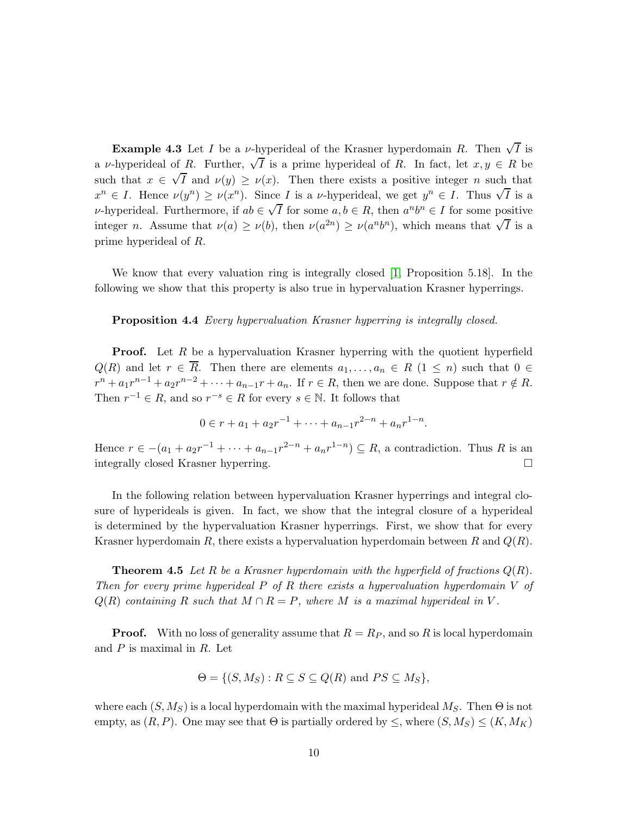**Example 4.3** Let *I* be a *ν*-hyperideal of the Krasner hyperdomain R. Then  $\sqrt{I}$  is a v-hyperideal of R. Further,  $\sqrt{\overline{I}}$  is a prime hyperideal of R. In fact, let  $x, y \in R$  be such that  $x \in \sqrt{I}$  and  $\nu(y) \geq \nu(x)$ . Then there exists a positive integer n such that  $x^n \in I$ . Hence  $\nu(y^n) \ge \nu(x^n)$ . Since I is a v-hyperideal, we get  $y^n \in I$ . Thus  $\sqrt{I}$  is a v-hyperideal. Furthermore, if  $ab \in \sqrt{I}$  for some  $a, b \in R$ , then  $a^n b^n \in I$  for some positive integer *n*. Assume that  $\nu(a) \geq \nu(b)$ , then  $\nu(a^{2n}) \geq \nu(a^n b^n)$ , which means that  $\sqrt{I}$  is a prime hyperideal of R.

<span id="page-9-0"></span>We know that every valuation ring is integrally closed [\[1,](#page-14-9) Proposition 5.18]. In the following we show that this property is also true in hypervaluation Krasner hyperrings.

Proposition 4.4 *Every hypervaluation Krasner hyperring is integrally closed.*

**Proof.** Let R be a hypervaluation Krasner hyperring with the quotient hyperfield  $Q(R)$  and let  $r \in \overline{R}$ . Then there are elements  $a_1, \ldots, a_n \in R$   $(1 \leq n)$  such that  $0 \in$  $r^{n} + a_{1}r^{n-1} + a_{2}r^{n-2} + \cdots + a_{n-1}r + a_{n}$ . If  $r \in R$ , then we are done. Suppose that  $r \notin R$ . Then  $r^{-1} \in R$ , and so  $r^{-s} \in R$  for every  $s \in \mathbb{N}$ . It follows that

<span id="page-9-1"></span>
$$
0 \in r + a_1 + a_2r^{-1} + \dots + a_{n-1}r^{2-n} + a_nr^{1-n}.
$$

Hence  $r \in -(a_1 + a_2r^{-1} + \cdots + a_{n-1}r^{2-n} + a_nr^{1-n}) \subseteq R$ , a contradiction. Thus R is an integrally closed Krasner hyperring.

In the following relation between hypervaluation Krasner hyperrings and integral closure of hyperideals is given. In fact, we show that the integral closure of a hyperideal is determined by the hypervaluation Krasner hyperrings. First, we show that for every Krasner hyperdomain R, there exists a hypervaluation hyperdomain between R and  $Q(R)$ .

**Theorem 4.5** Let R be a Krasner hyperdomain with the hyperfield of fractions  $Q(R)$ . *Then for every prime hyperideal* P *of* R *there exists a hypervaluation hyperdomain* V *of*  $Q(R)$  *containing* R *such that*  $M \cap R = P$ *, where* M *is a maximal hyperideal in* V.

**Proof.** With no loss of generality assume that  $R = R_P$ , and so R is local hyperdomain and  $P$  is maximal in  $R$ . Let

$$
\Theta = \{ (S, M_S) : R \subseteq S \subseteq Q(R) \text{ and } PS \subseteq M_S \},\
$$

where each  $(S, M_S)$  is a local hyperdomain with the maximal hyperideal  $M_S$ . Then  $\Theta$  is not empty, as  $(R, P)$ . One may see that  $\Theta$  is partially ordered by  $\leq$ , where  $(S, M_S) \leq (K, M_K)$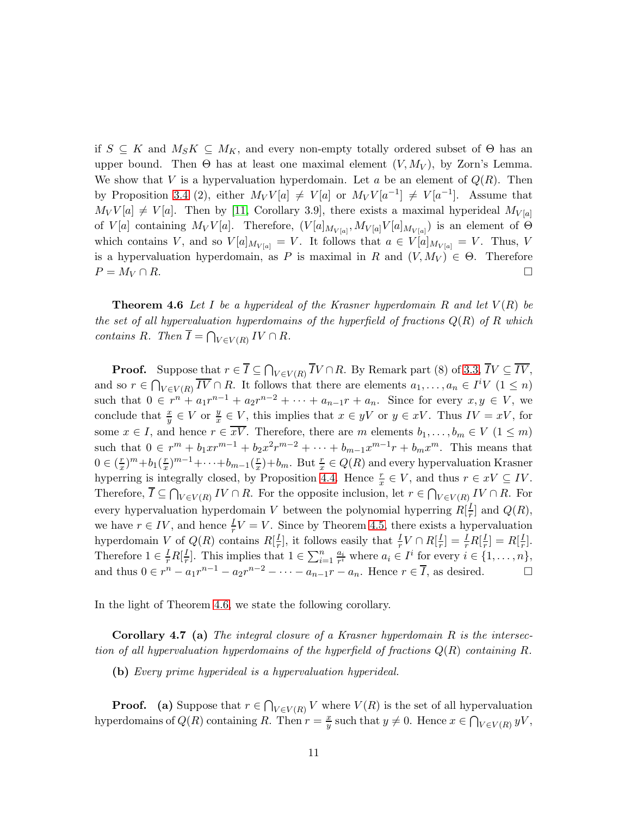if  $S \subseteq K$  and  $M_S K \subseteq M_K$ , and every non-empty totally ordered subset of  $\Theta$  has an upper bound. Then  $\Theta$  has at least one maximal element  $(V, M_V)$ , by Zorn's Lemma. We show that V is a hypervaluation hyperdomain. Let a be an element of  $Q(R)$ . Then by Proposition [3.4](#page-5-0) (2), either  $M_V V[a] \neq V[a]$  or  $M_V V[a^{-1}] \neq V[a^{-1}]$ . Assume that  $M_V V[a] \neq V[a]$ . Then by [\[11,](#page-14-13) Corollary 3.9], there exists a maximal hyperideal  $M_{V[a]}$ of  $V[a]$  containing  $M_VV[a]$ . Therefore,  $(V[a]_{M_{V[a]}}$ ,  $M_{V[a]}V[a]_{M_{V[a]}})$  is an element of  $\Theta$ which contains V, and so  $V[a]_{M_{V[a]}} = V$ . It follows that  $a \in V[a]_{M_{V[a]}} = V$ . Thus, V is a hypervaluation hyperdomain, as P is maximal in R and  $(V, M_V) \in \Theta$ . Therefore  $P = M_V \cap R$ .

<span id="page-10-0"></span>**Theorem 4.6** Let I be a hyperideal of the Krasner hyperdomain  $R$  and let  $V(R)$  be *the set of all hypervaluation hyperdomains of the hyperfield of fractions* Q(R) *of* R *which contains*  $R$ *. Then*  $\overline{I} = \bigcap_{V \in V(R)} IV \cap R$ *.* 

**Proof.** Suppose that  $r \in I \subseteq \bigcap_{V \in V(R)} IV \cap R$ . By Remark part (8) of [3.3,](#page-4-0)  $IV \subseteq IV$ , and so  $r \in \bigcap_{V \in V(R)} \overline{IV} \cap R$ . It follows that there are elements  $a_1, \ldots, a_n \in I^i V \ (1 \leq n)$ such that  $0 \in r^{n} + a_1 r^{n-1} + a_2 r^{n-2} + \cdots + a_{n-1} r + a_n$ . Since for every  $x, y \in V$ , we conclude that  $\frac{x}{y} \in V$  or  $\frac{y}{x}$  $\frac{y}{x} \in V$ , this implies that  $x \in yV$  or  $y \in xV$ . Thus  $IV = xV$ , for some  $x \in I$ , and hence  $r \in \overline{xV}$ . Therefore, there are m elements  $b_1, \ldots, b_m \in V$   $(1 \leq m)$ such that  $0 \in r^m + b_1 x r^{m-1} + b_2 x^2 r^{m-2} + \cdots + b_{m-1} x^{m-1} r + b_m x^m$ . This means that  $0 \in (\frac{r}{x})$  $(\frac{r}{x})^m+b_1(\frac{r}{x})$  $(\frac{r}{x})^{m-1}+\cdots+b_{m-1}(\frac{r}{x})$  $(\frac{r}{x})+b_m$ . But  $\frac{r}{x} \in Q(R)$  and every hypervaluation Krasner hyperring is integrally closed, by Proposition [4.4.](#page-9-0) Hence  $\frac{r}{x} \in V$ , and thus  $r \in xV \subseteq IV$ . Therefore,  $I \subseteq \bigcap_{V \in V(R)} IV \cap R$ . For the opposite inclusion, let  $r \in \bigcap_{V \in V(R)} IV \cap R$ . For every hypervaluation hyperdomain V between the polynomial hyperring  $R[\frac{I}{r}]$  $\frac{I}{r}$  and  $Q(R)$ , we have  $r \in IV$ , and hence  $\frac{I}{r}V = V$ . Since by Theorem [4.5,](#page-9-1) there exists a hypervaluation hyperdomain V of  $Q(R)$  contains  $R[\frac{I}{r}]$  $\frac{I}{r}$ , it follows easily that  $\frac{I}{r}V \cap R[\frac{I}{r}]$  $\frac{I}{r}]=\frac{I}{r}R[\frac{I}{r}% ]+\frac{I}{r}(\frac{I}{r})$  $\frac{I}{r}$ ] = R[ $\frac{I}{r}$  $\frac{1}{r}$ . Therefore  $1 \in \frac{I}{r}R[\frac{I}{r}]$  $\frac{I}{r}$ . This implies that  $1 \in \sum_{i=1}^n \frac{a_i}{r^i}$  $\frac{a_i}{r^i}$  where  $a_i \in I^i$  for every  $i \in \{1, \ldots, n\},\$ and thus  $0 \in r^n - a_1 r^{n-1} - a_2 r^{n-2} - \cdots - a_{n-1} r - a_n$ . Hence  $r \in \overline{I}$ , as desired.

In the light of Theorem [4.6,](#page-10-0) we state the following corollary.

Corollary 4.7 (a) *The integral closure of a Krasner hyperdomain* R *is the intersection of all hypervaluation hyperdomains of the hyperfield of fractions* Q(R) *containing* R*.*

(b) *Every prime hyperideal is a hypervaluation hyperideal.*

**Proof.** (a) Suppose that  $r \in \bigcap_{V \in V(R)} V$  where  $V(R)$  is the set of all hypervaluation hyperdomains of  $Q(R)$  containing R. Then  $r = \frac{x}{y}$ y such that  $y \neq 0$ . Hence  $x \in \bigcap_{V \in V(R)} yV$ ,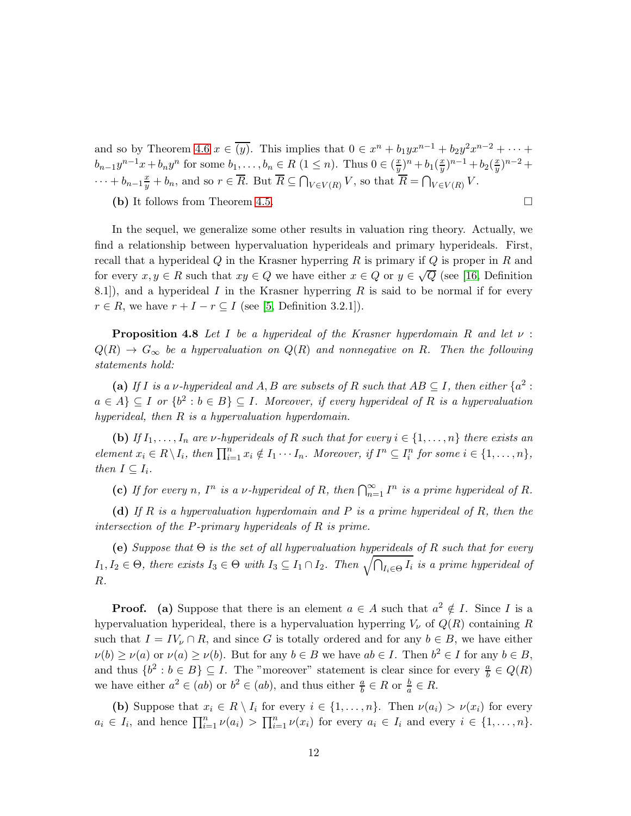and so by Theorem [4.6](#page-10-0)  $x \in \overline{(y)}$ . This implies that  $0 \in x^n + b_1 y x^{n-1} + b_2 y^2 x^{n-2} + \cdots$  $b_{n-1}y^{n-1}x + b_ny^n$  for some  $b_1, \ldots, b_n \in R$   $(1 \leq n)$ . Thus  $0 \in (\frac{x}{y})$  $\frac{x}{y})^n + b_1(\frac{x}{y})$  $\frac{x}{y}$ )<sup>n-1</sup> + b<sub>2</sub>( $\frac{x}{y}$ )  $\frac{x}{y})^{n-2}$  +  $\cdots + b_{n-1}\frac{x}{y} + b_n$ , and so  $r \in \overline{R}$ . But  $\overline{R} \subseteq \bigcap_{V \in V(R)} V$ , so that  $\overline{R} = \bigcap_{V \in V(R)} V$ .

(b) It follows from Theorem [4.5.](#page-9-1)

In the sequel, we generalize some other results in valuation ring theory. Actually, we find a relationship between hypervaluation hyperideals and primary hyperideals. First, recall that a hyperideal  $Q$  in the Krasner hyperring  $R$  is primary if  $Q$  is proper in  $R$  and for every  $x, y \in R$  such that  $xy \in Q$  we have either  $x \in Q$  or  $y \in \sqrt{Q}$  (see [\[16,](#page-15-2) Definition 8.1]), and a hyperideal  $I$  in the Krasner hyperring  $R$  is said to be normal if for every  $r \in R$ , we have  $r + I - r \subseteq I$  (see [\[5,](#page-14-2) Definition 3.2.1]).

<span id="page-11-0"></span>Proposition 4.8 *Let* I *be a hyperideal of the Krasner hyperdomain* R *and let* ν :  $Q(R) \rightarrow G_{\infty}$  *be a hypervaluation on*  $Q(R)$  *and nonnegative on* R. Then the following *statements hold:*

(a) If *I* is a v-hyperideal and A, B are subsets of R such that  $AB \subseteq I$ , then either  $\{a^2 : I \subseteq I\}$  $a \in A$   $\subseteq$  *I* or  $\{b^2 : b \in B\}$   $\subseteq$  *I. Moreover, if every hyperideal of R is a hypervaluation hyperideal, then* R *is a hypervaluation hyperdomain.*

(b) *If*  $I_1, \ldots, I_n$  *are*  $\nu$ *-hyperideals of* R *such that for every*  $i \in \{1, \ldots, n\}$  *there exists an element*  $x_i \in R \setminus I_i$ *, then*  $\prod_{i=1}^n x_i \notin I_1 \cdots I_n$ *. Moreover, if*  $I^n \subseteq I_i^n$  for some  $i \in \{1, \ldots, n\}$ *, then*  $I \subseteq I_i$ *.* 

(c) If for every n,  $I^n$  is a v-hyperideal of R, then  $\bigcap_{n=1}^{\infty} I^n$  is a prime hyperideal of R.

(d) *If* R *is a hypervaluation hyperdomain and* P *is a prime hyperideal of* R*, then the intersection of the* P*-primary hyperideals of* R *is prime.*

(e) *Suppose that* Θ *is the set of all hypervaluation hyperideals of* R *such that for every*  $I_1, I_2 \in \Theta$ , there exists  $I_3 \in \Theta$  with  $I_3 \subseteq I_1 \cap I_2$ . Then  $\sqrt{\bigcap_{I_i \in \Theta} I_i}$  is a prime hyperideal of R*.*

**Proof.** (a) Suppose that there is an element  $a \in A$  such that  $a^2 \notin I$ . Since I is a hypervaluation hyperideal, there is a hypervaluation hyperring  $V_{\nu}$  of  $Q(R)$  containing R such that  $I = IV_{\nu} \cap R$ , and since G is totally ordered and for any  $b \in B$ , we have either  $\nu(b) \ge \nu(a)$  or  $\nu(a) \ge \nu(b)$ . But for any  $b \in B$  we have  $ab \in I$ . Then  $b^2 \in I$  for any  $b \in B$ , and thus  $\{b^2 : b \in B\} \subseteq I$ . The "moreover" statement is clear since for every  $\frac{a}{b} \in Q(R)$ we have either  $a^2 \in (ab)$  or  $b^2 \in (ab)$ , and thus either  $\frac{a}{b} \in R$  or  $\frac{b}{a} \in R$ .

(b) Suppose that  $x_i \in R \setminus I_i$  for every  $i \in \{1, ..., n\}$ . Then  $\nu(a_i) > \nu(x_i)$  for every  $a_i \in I_i$ , and hence  $\prod_{i=1}^n \nu(a_i) > \prod_{i=1}^n \nu(x_i)$  for every  $a_i \in I_i$  and every  $i \in \{1, ..., n\}$ .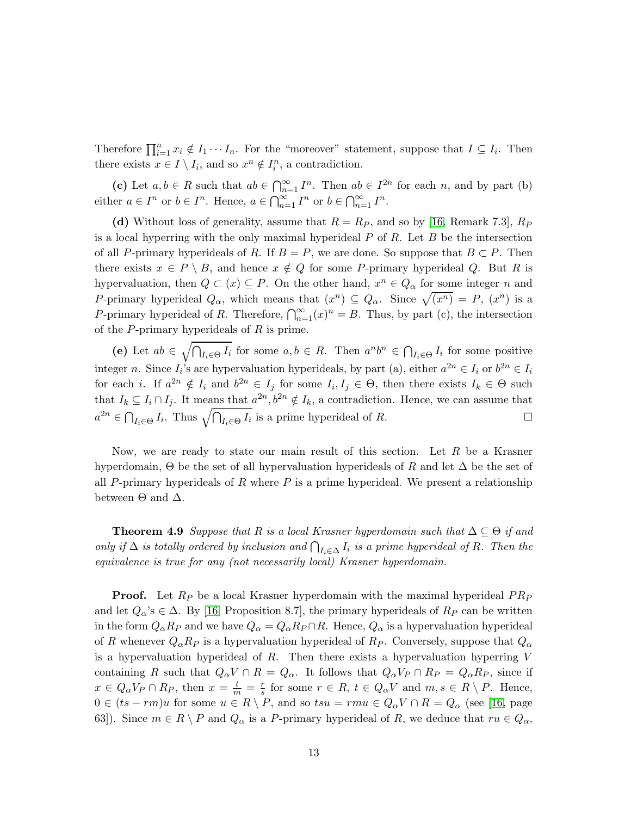Therefore  $\prod_{i=1}^n x_i \notin I_1 \cdots I_n$ . For the "moreover" statement, suppose that  $I \subseteq I_i$ . Then there exists  $x \in I \setminus I_i$ , and so  $x^n \notin I_i^n$ , a contradiction.

(c) Let  $a, b \in R$  such that  $ab \in \bigcap_{n=1}^{\infty} I^n$ . Then  $ab \in I^{2n}$  for each n, and by part (b) either  $a \in I^n$  or  $b \in I^n$ . Hence,  $a \in \bigcap_{n=1}^{\infty} I^n$  or  $b \in \bigcap_{n=1}^{\infty} I^n$ .

(d) Without loss of generality, assume that  $R = R_P$ , and so by [\[16,](#page-15-2) Remark 7.3],  $R_P$ is a local hyperring with the only maximal hyperideal  $P$  of  $R$ . Let  $B$  be the intersection of all P-primary hyperideals of R. If  $B = P$ , we are done. So suppose that  $B \subset P$ . Then there exists  $x \in P \setminus B$ , and hence  $x \notin Q$  for some P-primary hyperideal Q. But R is hypervaluation, then  $Q \subset (x) \subseteq P$ . On the other hand,  $x^n \in Q_\alpha$  for some integer n and P-primary hyperideal  $Q_{\alpha}$ , which means that  $(x^n) \subseteq Q_{\alpha}$ . Since  $\sqrt{(x^n)} = P$ ,  $(x^n)$  is a P-primary hyperideal of R. Therefore,  $\bigcap_{n=1}^{\infty} (x)^n = B$ . Thus, by part (c), the intersection of the  $P$ -primary hyperideals of  $R$  is prime.

(e) Let  $ab \in \sqrt{\bigcap_{I_i \in \Theta} I_i}$  for some  $a, b \in R$ . Then  $a^n b^n \in \bigcap_{I_i \in \Theta} I_i$  for some positive integer *n*. Since  $I_i$ 's are hypervaluation hyperideals, by part (a), either  $a^{2n} \in I_i$  or  $b^{2n} \in I_i$ for each *i*. If  $a^{2n} \notin I_i$  and  $b^{2n} \in I_j$  for some  $I_i, I_j \in \Theta$ , then there exists  $I_k \in \Theta$  such that  $I_k \subseteq I_i \cap I_j$ . It means that  $a^{2n}, b^{2n} \notin I_k$ , a contradiction. Hence, we can assume that  $a^{2n} \in \bigcap_{I_i \in \Theta} I_i$ . Thus  $\sqrt{\bigcap_{I_i \in \Theta} I_i}$  is a prime hyperideal of R.

Now, we are ready to state our main result of this section. Let  $R$  be a Krasner hyperdomain,  $\Theta$  be the set of all hypervaluation hyperideals of R and let  $\Delta$  be the set of all P-primary hyperideals of  $R$  where  $P$  is a prime hyperideal. We present a relationship between  $\Theta$  and  $\Delta$ .

**Theorem 4.9** *Suppose that* R *is a local Krasner hyperdomain such that*  $\Delta \subseteq \Theta$  *if and only if*  $\Delta$  *is totally ordered by inclusion and*  $\bigcap_{I_i \in \Delta} I_i$  *is a prime hyperideal of* R. Then the *equivalence is true for any (not necessarily local) Krasner hyperdomain.*

**Proof.** Let  $R_P$  be a local Krasner hyperdomain with the maximal hyperideal  $PR_P$ and let  $Q_{\alpha}$ 's  $\in \Delta$ . By [\[16,](#page-15-2) Proposition 8.7], the primary hyperideals of  $R_P$  can be written in the form  $Q_{\alpha}R_P$  and we have  $Q_{\alpha} = Q_{\alpha}R_P \cap R$ . Hence,  $Q_{\alpha}$  is a hypervaluation hyperideal of R whenever  $Q_{\alpha}R_P$  is a hypervaluation hyperideal of  $R_P$ . Conversely, suppose that  $Q_{\alpha}$ is a hypervaluation hyperideal of  $R$ . Then there exists a hypervaluation hyperring  $V$ containing R such that  $Q_{\alpha}V \cap R = Q_{\alpha}$ . It follows that  $Q_{\alpha}V_P \cap R_P = Q_{\alpha}R_P$ , since if  $x \in Q_{\alpha}V_P \cap R_P$ , then  $x = \frac{t}{m} = \frac{r}{s}$  for some  $r \in R$ ,  $t \in Q_{\alpha}V$  and  $m, s \in R \setminus P$ . Hence,  $0 \in (ts - rm)u$  for some  $u \in R \setminus P$ , and so  $tsu = rmu \in Q_{\alpha}V \cap R = Q_{\alpha}$  (see [\[16,](#page-15-2) page 63]). Since  $m \in R \setminus P$  and  $Q_{\alpha}$  is a P-primary hyperideal of R, we deduce that  $ru \in Q_{\alpha}$ ,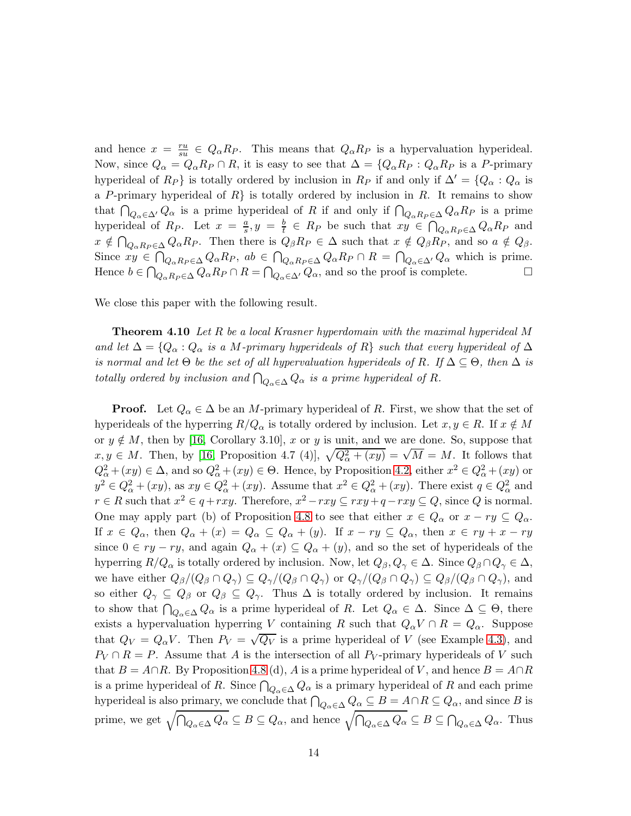and hence  $x = \frac{ru}{su}$  $\frac{ru}{su} \in Q_{\alpha}R_P$ . This means that  $Q_{\alpha}R_P$  is a hypervaluation hyperideal. Now, since  $Q_{\alpha} = Q_{\alpha} R_P \cap R$ , it is easy to see that  $\Delta = \{Q_{\alpha} R_P : Q_{\alpha} R_P$  is a P-primary hyperideal of  $R_P$ } is totally ordered by inclusion in  $R_P$  if and only if  $\Delta' = \{Q_\alpha : Q_\alpha \}$  is a P-primary hyperideal of R is totally ordered by inclusion in R. It remains to show that  $\bigcap_{Q_\alpha \in \Delta'} Q_\alpha$  is a prime hyperideal of R if and only if  $\bigcap_{Q_\alpha R_P \in \Delta} Q_\alpha R_P$  is a prime hyperideal of  $R_P$ . Let  $x = \frac{a}{s}$  $\frac{a}{s}, y = \frac{b}{t}$  $\frac{b}{t} \in R_P$  be such that  $xy \in \bigcap_{Q_\alpha R_P \in \Delta} Q_\alpha R_P$  and  $x \notin \bigcap_{Q_{\alpha}R_{P} \in \Delta} Q_{\alpha}R_{P}$ . Then there is  $Q_{\beta}R_{P} \in \Delta$  such that  $x \notin Q_{\beta}R_{P}$ , and so  $a \notin Q_{\beta}$ . Since  $xy \in \bigcap_{Q_{\alpha}R_P \in \Delta} Q_{\alpha}R_P$ ,  $ab \in \bigcap_{Q_{\alpha}R_P \in \Delta} Q_{\alpha}R_P \cap R = \bigcap_{Q_{\alpha} \in \Delta'} Q_{\alpha}$  which is prime. Hence  $b \in \bigcap_{Q_{\alpha}R_P \in \Delta} Q_{\alpha}R_P \cap R = \bigcap_{Q_{\alpha} \in \Delta'} Q_{\alpha}$ , and so the proof is complete.

We close this paper with the following result.

Theorem 4.10 *Let* R *be a local Krasner hyperdomain with the maximal hyperideal* M *and let*  $\Delta = \{Q_\alpha : Q_\alpha$  *is a M-primary hyperideals of* R} *such that every hyperideal of*  $\Delta$ *is normal and let*  $\Theta$  *be the set of all hypervaluation hyperideals of* R. If  $\Delta \subseteq \Theta$ *, then*  $\Delta$  *is totally ordered by inclusion and*  $\bigcap_{Q_\alpha \in \Delta} Q_\alpha$  *is a prime hyperideal of R.* 

**Proof.** Let  $Q_{\alpha} \in \Delta$  be an M-primary hyperideal of R. First, we show that the set of hyperideals of the hyperring  $R/Q_\alpha$  is totally ordered by inclusion. Let  $x, y \in R$ . If  $x \notin M$ or  $y \notin M$ , then by [\[16,](#page-15-2) Corollary 3.10], x or y is unit, and we are done. So, suppose that  $x, y \in M$ . Then, by [\[16,](#page-15-2) Proposition 4.7 (4)],  $\sqrt{Q_{\alpha}^2 + (xy)} = \sqrt{M} = M$ . It follows that  $Q_{\alpha}^2 + (xy) \in \Delta$ , and so  $Q_{\alpha}^2 + (xy) \in \Theta$ . Hence, by Proposition [4.2,](#page-8-0) either  $x^2 \in Q_{\alpha}^2 + (xy)$  or  $y^2 \in Q^2_\alpha + (xy)$ , as  $xy \in Q^2_\alpha + (xy)$ . Assume that  $x^2 \in Q^2_\alpha + (xy)$ . There exist  $q \in Q^2_\alpha$  and  $r \in R$  such that  $x^2 \in q + rxy$ . Therefore,  $x^2 - rxy \subseteq rxy + q - rxy \subseteq Q$ , since Q is normal. One may apply part (b) of Proposition [4.8](#page-11-0) to see that either  $x \in Q_\alpha$  or  $x - ry \subseteq Q_\alpha$ . If  $x \in Q_\alpha$ , then  $Q_\alpha + (x) = Q_\alpha \subseteq Q_\alpha + (y)$ . If  $x - ry \subseteq Q_\alpha$ , then  $x \in ry + x - ry$ since  $0 \in ry - ry$ , and again  $Q_{\alpha} + (x) \subseteq Q_{\alpha} + (y)$ , and so the set of hyperideals of the hyperring  $R/Q_\alpha$  is totally ordered by inclusion. Now, let  $Q_\beta, Q_\gamma \in \Delta$ . Since  $Q_\beta \cap Q_\gamma \in \Delta$ , we have either  $Q_{\beta}/(Q_{\beta} \cap Q_{\gamma}) \subseteq Q_{\gamma}/(Q_{\beta} \cap Q_{\gamma})$  or  $Q_{\gamma}/(Q_{\beta} \cap Q_{\gamma}) \subseteq Q_{\beta}/(Q_{\beta} \cap Q_{\gamma})$ , and so either  $Q_{\gamma} \subseteq Q_{\beta}$  or  $Q_{\beta} \subseteq Q_{\gamma}$ . Thus  $\Delta$  is totally ordered by inclusion. It remains to show that  $\bigcap_{Q_\alpha \in \Delta} Q_\alpha$  is a prime hyperideal of R. Let  $Q_\alpha \in \Delta$ . Since  $\Delta \subseteq \Theta$ , there exists a hypervaluation hyperring V containing R such that  $Q_{\alpha}V \cap R = Q_{\alpha}$ . Suppose that  $Q_V = Q_{\alpha}V$ . Then  $P_V = \sqrt{Q_V}$  is a prime hyperideal of V (see Example [4.3\)](#page-8-1), and  $P_V \cap R = P$ . Assume that A is the intersection of all  $P_V$ -primary hyperideals of V such that  $B = A \cap R$ . By Proposition [4.8](#page-11-0) (d), A is a prime hyperideal of V, and hence  $B = A \cap R$ is a prime hyperideal of R. Since  $\bigcap_{Q_\alpha \in \Delta} Q_\alpha$  is a primary hyperideal of R and each prime hyperideal is also primary, we conclude that  $\bigcap_{Q_\alpha \in \Delta} Q_\alpha \subseteq B = A \cap R \subseteq Q_\alpha$ , and since B is prime, we get  $\sqrt{\bigcap_{Q_\alpha \in \Delta} Q_\alpha} \subseteq B \subseteq Q_\alpha$ , and hence  $\sqrt{\bigcap_{Q_\alpha \in \Delta} Q_\alpha} \subseteq B \subseteq \bigcap_{Q_\alpha \in \Delta} Q_\alpha$ . Thus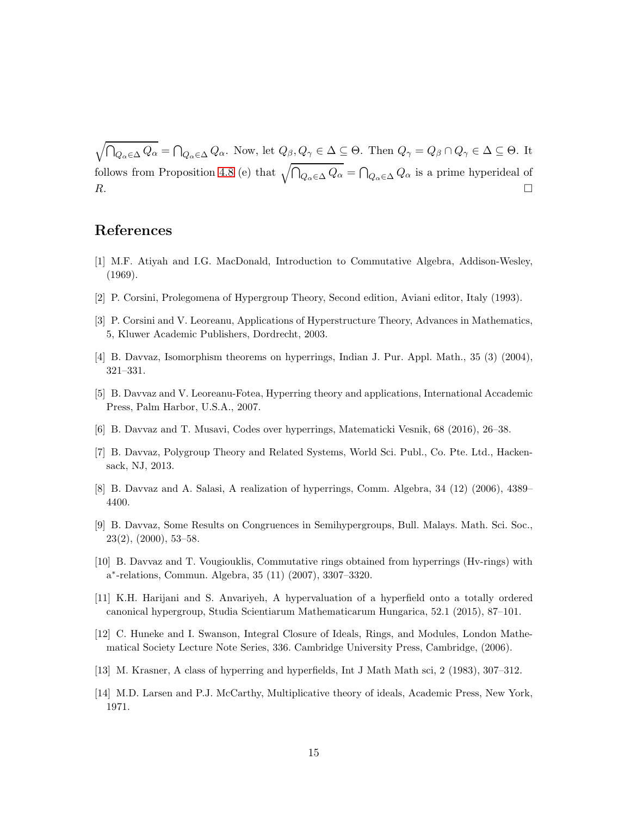$\sqrt{\bigcap_{Q_\alpha\in\Delta}Q_\alpha} = \bigcap_{Q_\alpha\in\Delta}Q_\alpha$ . Now, let  $Q_\beta, Q_\gamma \in \Delta \subseteq \Theta$ . Then  $Q_\gamma = Q_\beta \cap Q_\gamma \in \Delta \subseteq \Theta$ . It follows from Proposition [4.8](#page-11-0) (e) that  $\sqrt{\bigcap_{Q_\alpha \in \Delta} Q_\alpha} = \bigcap_{Q_\alpha \in \Delta} Q_\alpha$  is a prime hyperideal of  $R$ .

# <span id="page-14-9"></span>References

- <span id="page-14-0"></span>[1] M.F. Atiyah and I.G. MacDonald, Introduction to Commutative Algebra, Addison-Wesley, (1969).
- <span id="page-14-1"></span>[2] P. Corsini, Prolegomena of Hypergroup Theory, Second edition, Aviani editor, Italy (1993).
- <span id="page-14-6"></span>[3] P. Corsini and V. Leoreanu, Applications of Hyperstructure Theory, Advances in Mathematics, 5, Kluwer Academic Publishers, Dordrecht, 2003.
- <span id="page-14-2"></span>[4] B. Davvaz, Isomorphism theorems on hyperrings, Indian J. Pur. Appl. Math., 35 (3) (2004), 321–331.
- <span id="page-14-12"></span>[5] B. Davvaz and V. Leoreanu-Fotea, Hyperring theory and applications, International Accademic Press, Palm Harbor, U.S.A., 2007.
- <span id="page-14-3"></span>[6] B. Davvaz and T. Musavi, Codes over hyperrings, Matematicki Vesnik, 68 (2016), 26–38.
- <span id="page-14-7"></span>[7] B. Davvaz, Polygroup Theory and Related Systems, World Sci. Publ., Co. Pte. Ltd., Hackensack, NJ, 2013.
- <span id="page-14-4"></span>[8] B. Davvaz and A. Salasi, A realization of hyperrings, Comm. Algebra, 34 (12) (2006), 4389– 4400.
- [9] B. Davvaz, Some Results on Congruences in Semihypergroups, Bull. Malays. Math. Sci. Soc., 23(2), (2000), 53–58.
- <span id="page-14-13"></span><span id="page-14-8"></span>[10] B. Davvaz and T. Vougiouklis, Commutative rings obtained from hyperrings (Hv-rings) with a ∗ -relations, Commun. Algebra, 35 (11) (2007), 3307–3320.
- <span id="page-14-10"></span>[11] K.H. Harijani and S. Anvariyeh, A hypervaluation of a hyperfield onto a totally ordered canonical hypergroup, Studia Scientiarum Mathematicarum Hungarica, 52.1 (2015), 87–101.
- [12] C. Huneke and I. Swanson, Integral Closure of Ideals, Rings, and Modules, London Mathematical Society Lecture Note Series, 336. Cambridge University Press, Cambridge, (2006).
- <span id="page-14-11"></span><span id="page-14-5"></span>[13] M. Krasner, A class of hyperring and hyperfields, Int J Math Math sci, 2 (1983), 307–312.
- [14] M.D. Larsen and P.J. McCarthy, Multiplicative theory of ideals, Academic Press, New York, 1971.